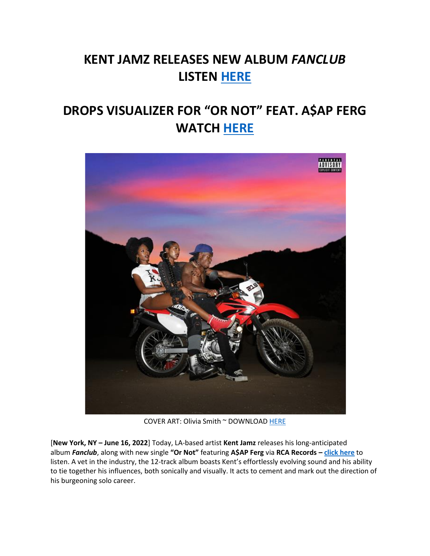## **KENT JAMZ RELEASES NEW ALBUM** *FANCLUB* **LISTEN [HERE](https://eur01.safelinks.protection.outlook.com/?url=https%3A%2F%2Fkentjamz.lnk.to%2FFanClub&data=05%7C01%7Cnoelle.janasiewicz.sme%40sonymusic.com%7C43bd8ceb31d14005389208da507dd431%7Cf0aff3b791a54aaeaf71c63e1dda2049%7C0%7C0%7C637910798605297108%7CUnknown%7CTWFpbGZsb3d8eyJWIjoiMC4wLjAwMDAiLCJQIjoiV2luMzIiLCJBTiI6Ik1haWwiLCJXVCI6Mn0%3D%7C3000%7C%7C%7C&sdata=8SCASrUiYJGXlrep4dO8SAny92XQsgj4TQTBmws4mCo%3D&reserved=0)**

## **DROPS VISUALIZER FOR "OR NOT" FEAT. A\$AP FERG WATCH [HERE](https://eur01.safelinks.protection.outlook.com/?url=https%3A%2F%2Fkentjamz.lnk.to%2FOrNotLyric&data=05%7C01%7Cnoelle.janasiewicz.sme%40sonymusic.com%7C43bd8ceb31d14005389208da507dd431%7Cf0aff3b791a54aaeaf71c63e1dda2049%7C0%7C0%7C637910798605297108%7CUnknown%7CTWFpbGZsb3d8eyJWIjoiMC4wLjAwMDAiLCJQIjoiV2luMzIiLCJBTiI6Ik1haWwiLCJXVCI6Mn0%3D%7C3000%7C%7C%7C&sdata=ASwKnI3rBBMLviTRbYnuLVpAIwTs94ZpGPxcud0yBvA%3D&reserved=0)**



COVER ART: Olivia Smith ~ DOWNLOAD [HERE](https://eur01.safelinks.protection.outlook.com/?url=https%3A%2F%2Fsm01.box.com%2Fs%2Ftiwh52mlgdce28cb1totlk74c6norgqd&data=05%7C01%7Cnoelle.janasiewicz.sme%40sonymusic.com%7C43bd8ceb31d14005389208da507dd431%7Cf0aff3b791a54aaeaf71c63e1dda2049%7C0%7C0%7C637910798605297108%7CUnknown%7CTWFpbGZsb3d8eyJWIjoiMC4wLjAwMDAiLCJQIjoiV2luMzIiLCJBTiI6Ik1haWwiLCJXVCI6Mn0%3D%7C3000%7C%7C%7C&sdata=h%2BXA51O0tp9rUOeSoljQFPQdEdHKWtyQghTEcY90Pf4%3D&reserved=0)

[**New York, NY – June 16, 2022**] Today, LA-based artist **Kent Jamz** releases his long-anticipated album *Fanclub*, along with new single **"Or Not"** featuring **A\$AP Ferg** via **RCA Records – [click here](https://eur01.safelinks.protection.outlook.com/?url=https%3A%2F%2Fkentjamz.lnk.to%2FFanClub&data=05%7C01%7Cnoelle.janasiewicz.sme%40sonymusic.com%7C43bd8ceb31d14005389208da507dd431%7Cf0aff3b791a54aaeaf71c63e1dda2049%7C0%7C0%7C637910798605297108%7CUnknown%7CTWFpbGZsb3d8eyJWIjoiMC4wLjAwMDAiLCJQIjoiV2luMzIiLCJBTiI6Ik1haWwiLCJXVCI6Mn0%3D%7C3000%7C%7C%7C&sdata=8SCASrUiYJGXlrep4dO8SAny92XQsgj4TQTBmws4mCo%3D&reserved=0)** to listen. A vet in the industry, the 12-track album boasts Kent's effortlessly evolving sound and his ability to tie together his influences, both sonically and visually. It acts to cement and mark out the direction of his burgeoning solo career.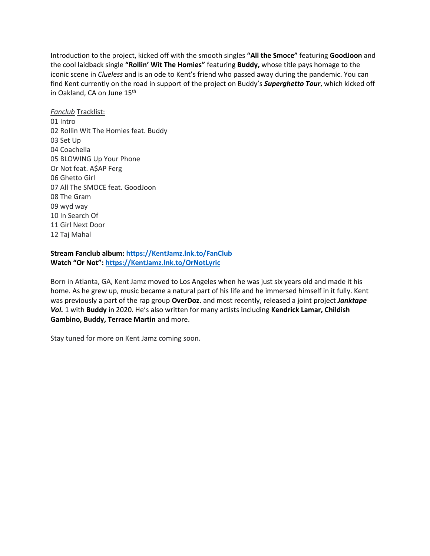Introduction to the project, kicked off with the smooth singles **"All the Smoce"** featuring **GoodJoon** and the cool laidback single **"Rollin' Wit The Homies"** featuring **Buddy,** whose title pays homage to the iconic scene in *Clueless* and is an ode to Kent's friend who passed away during the pandemic. You can find Kent currently on the road in support of the project on Buddy's *Superghetto Tour*, which kicked off in Oakland, CA on June 15<sup>th</sup>

*Fanclub* Tracklist: 01 Intro 02 Rollin Wit The Homies feat. Buddy 03 Set Up 04 Coachella 05 BLOWING Up Your Phone Or Not feat. A\$AP Ferg 06 Ghetto Girl 07 All The SMOCE feat. GoodJoon 08 The Gram 09 wyd way 10 In Search Of 11 Girl Next Door 12 Taj Mahal

## **Stream Fanclub album: [https://KentJamz.lnk.to/FanClub](https://eur01.safelinks.protection.outlook.com/?url=https%3A%2F%2Fkentjamz.lnk.to%2FFanClub&data=05%7C01%7Cnoelle.janasiewicz.sme%40sonymusic.com%7C43bd8ceb31d14005389208da507dd431%7Cf0aff3b791a54aaeaf71c63e1dda2049%7C0%7C0%7C637910798605297108%7CUnknown%7CTWFpbGZsb3d8eyJWIjoiMC4wLjAwMDAiLCJQIjoiV2luMzIiLCJBTiI6Ik1haWwiLCJXVCI6Mn0%3D%7C3000%7C%7C%7C&sdata=8SCASrUiYJGXlrep4dO8SAny92XQsgj4TQTBmws4mCo%3D&reserved=0) Watch "Or Not": [https://KentJamz.lnk.to/OrNotLyric](https://eur01.safelinks.protection.outlook.com/?url=https%3A%2F%2Fkentjamz.lnk.to%2FOrNotLyric&data=05%7C01%7Cnoelle.janasiewicz.sme%40sonymusic.com%7C43bd8ceb31d14005389208da507dd431%7Cf0aff3b791a54aaeaf71c63e1dda2049%7C0%7C0%7C637910798605297108%7CUnknown%7CTWFpbGZsb3d8eyJWIjoiMC4wLjAwMDAiLCJQIjoiV2luMzIiLCJBTiI6Ik1haWwiLCJXVCI6Mn0%3D%7C3000%7C%7C%7C&sdata=ASwKnI3rBBMLviTRbYnuLVpAIwTs94ZpGPxcud0yBvA%3D&reserved=0)**

Born in Atlanta, GA, Kent Jamz moved to Los Angeles when he was just six years old and made it his home. As he grew up, music became a natural part of his life and he immersed himself in it fully. Kent was previously a part of the rap group **OverDoz.** and most recently, released a joint project *Janktape Vol.* 1 with **Buddy** in 2020. He's also written for many artists including **Kendrick Lamar, Childish Gambino, Buddy, Terrace Martin** and more.

Stay tuned for more on Kent Jamz coming soon.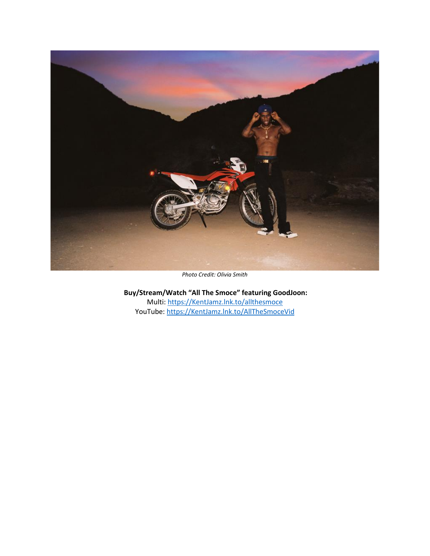

*Photo Credit: Olivia Smith*

**Buy/Stream/Watch "All The Smoce" featuring GoodJoon:** Multi: [https://KentJamz.lnk.to/allthesmoce](https://eur01.safelinks.protection.outlook.com/?url=https%3A%2F%2Fkentjamz.lnk.to%2Fallthesmoce&data=05%7C01%7Cnoelle.janasiewicz.sme%40sonymusic.com%7C43bd8ceb31d14005389208da507dd431%7Cf0aff3b791a54aaeaf71c63e1dda2049%7C0%7C0%7C637910798605297108%7CUnknown%7CTWFpbGZsb3d8eyJWIjoiMC4wLjAwMDAiLCJQIjoiV2luMzIiLCJBTiI6Ik1haWwiLCJXVCI6Mn0%3D%7C3000%7C%7C%7C&sdata=RRS8AbBRgjNZuUkutLeuZq9ILMQWGaYriMAMB521DzQ%3D&reserved=0) YouTube: [https://KentJamz.lnk.to/AllTheSmoceVid](https://eur01.safelinks.protection.outlook.com/?url=https%3A%2F%2Fkentjamz.lnk.to%2FAllTheSmoceVid&data=05%7C01%7Cnoelle.janasiewicz.sme%40sonymusic.com%7C43bd8ceb31d14005389208da507dd431%7Cf0aff3b791a54aaeaf71c63e1dda2049%7C0%7C0%7C637910798605297108%7CUnknown%7CTWFpbGZsb3d8eyJWIjoiMC4wLjAwMDAiLCJQIjoiV2luMzIiLCJBTiI6Ik1haWwiLCJXVCI6Mn0%3D%7C3000%7C%7C%7C&sdata=HJVdycnrUjPxRhLWXYdUCwqusRG13gPOlXOVHSAY224%3D&reserved=0)